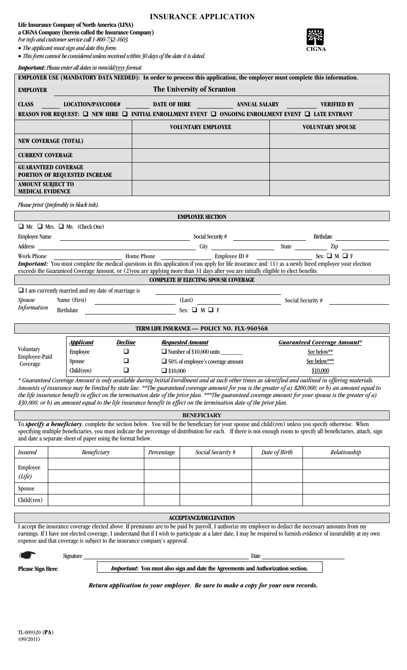### **Life Insurance Company of North America (LINA) a CIGNA Company (herein called the Insurance Company)**

*For info and customer service call 1-800-732-1603.* 

*The applicant must sign and date this form.* 

*This form cannot be considered unless received within 30 days of the date it is dated.* 

|                                                                                                                                                                                  | <b>Important:</b> Please enter all dates in mm/dd/yyyy format.                                                                        |                |            |                                                                                                                                                                     |               |                                                                 |                                                                                                                                                                                                                                                                                                                                                                                                                                                                     |  |  |
|----------------------------------------------------------------------------------------------------------------------------------------------------------------------------------|---------------------------------------------------------------------------------------------------------------------------------------|----------------|------------|---------------------------------------------------------------------------------------------------------------------------------------------------------------------|---------------|-----------------------------------------------------------------|---------------------------------------------------------------------------------------------------------------------------------------------------------------------------------------------------------------------------------------------------------------------------------------------------------------------------------------------------------------------------------------------------------------------------------------------------------------------|--|--|
| <b>EMPLOYER USE (MANDATORY DATA NEEDED):</b> In order to process this application, the employer must complete this information.<br>The University of Scranton<br><b>EMPLOYER</b> |                                                                                                                                       |                |            |                                                                                                                                                                     |               |                                                                 |                                                                                                                                                                                                                                                                                                                                                                                                                                                                     |  |  |
| <b>CLASS</b>                                                                                                                                                                     | LOCATION/PAYCODE# DATE OF HIRE ANNUAL SALARY<br><b>VERIFIED BY</b>                                                                    |                |            |                                                                                                                                                                     |               |                                                                 |                                                                                                                                                                                                                                                                                                                                                                                                                                                                     |  |  |
| REASON FOR REQUEST: □ NEW HIRE □ INITIAL ENROLLMENT EVENT □ ONGOING ENROLLMENT EVENT □ LATE ENTRANT                                                                              |                                                                                                                                       |                |            |                                                                                                                                                                     |               |                                                                 |                                                                                                                                                                                                                                                                                                                                                                                                                                                                     |  |  |
| <b>VOLUNTARY EMPLOYEE</b><br><b>VOLUNTARY SPOUSE</b>                                                                                                                             |                                                                                                                                       |                |            |                                                                                                                                                                     |               |                                                                 |                                                                                                                                                                                                                                                                                                                                                                                                                                                                     |  |  |
| <b>NEW COVERAGE (TOTAL)</b>                                                                                                                                                      |                                                                                                                                       |                |            |                                                                                                                                                                     |               |                                                                 |                                                                                                                                                                                                                                                                                                                                                                                                                                                                     |  |  |
| <b>CURRENT COVERAGE</b>                                                                                                                                                          |                                                                                                                                       |                |            |                                                                                                                                                                     |               |                                                                 |                                                                                                                                                                                                                                                                                                                                                                                                                                                                     |  |  |
|                                                                                                                                                                                  | <b>GUARANTEED COVERAGE</b><br>PORTION OF REQUESTED INCREASE                                                                           |                |            |                                                                                                                                                                     |               |                                                                 |                                                                                                                                                                                                                                                                                                                                                                                                                                                                     |  |  |
| <b>AMOUNT SUBJECT TO</b><br><b>MEDICAL EVIDENCE</b>                                                                                                                              |                                                                                                                                       |                |            |                                                                                                                                                                     |               |                                                                 |                                                                                                                                                                                                                                                                                                                                                                                                                                                                     |  |  |
|                                                                                                                                                                                  | Please print (preferably in black ink).                                                                                               |                |            |                                                                                                                                                                     |               |                                                                 |                                                                                                                                                                                                                                                                                                                                                                                                                                                                     |  |  |
|                                                                                                                                                                                  |                                                                                                                                       |                |            | <b>EMPLOYEE SECTION</b>                                                                                                                                             |               |                                                                 |                                                                                                                                                                                                                                                                                                                                                                                                                                                                     |  |  |
|                                                                                                                                                                                  | $\Box$ Mr. $\Box$ Mrs. $\Box$ Ms. (Check One)                                                                                         |                |            |                                                                                                                                                                     |               |                                                                 |                                                                                                                                                                                                                                                                                                                                                                                                                                                                     |  |  |
|                                                                                                                                                                                  |                                                                                                                                       |                |            |                                                                                                                                                                     |               | Employee Name Birthdate Birthdate Birthdate Birthdate Birthdate |                                                                                                                                                                                                                                                                                                                                                                                                                                                                     |  |  |
|                                                                                                                                                                                  |                                                                                                                                       |                |            | Address City City State $\frac{\text{City}}{\text{Replace ID #}}$ State $\frac{\text{City}}{\text{Replace ID #}}$ State $\frac{\text{City}}{\text{Step } \text{C}}$ |               |                                                                 |                                                                                                                                                                                                                                                                                                                                                                                                                                                                     |  |  |
|                                                                                                                                                                                  | exceeds the Guaranteed Coverage Amount, or (2) you are applying more than 31 days after you are initially eligible to elect benefits. |                | Home Phone |                                                                                                                                                                     |               |                                                                 | <b>Important:</b> You must complete the medical questions in this application if you apply for life insurance and: (1) as a newly hired employee your election                                                                                                                                                                                                                                                                                                      |  |  |
|                                                                                                                                                                                  |                                                                                                                                       |                |            | <b>COMPLETE IF ELECTING SPOUSE COVERAGE</b>                                                                                                                         |               |                                                                 |                                                                                                                                                                                                                                                                                                                                                                                                                                                                     |  |  |
|                                                                                                                                                                                  | $\Box$ I am currently married and my date of marriage is                                                                              |                |            |                                                                                                                                                                     |               |                                                                 |                                                                                                                                                                                                                                                                                                                                                                                                                                                                     |  |  |
| Spouse                                                                                                                                                                           | Name (First)                                                                                                                          |                |            | (Last)                                                                                                                                                              |               |                                                                 | Social Security #                                                                                                                                                                                                                                                                                                                                                                                                                                                   |  |  |
| <b>Information</b>                                                                                                                                                               | Birthdate                                                                                                                             |                |            | Sex: $\Box$ M $\Box$ F                                                                                                                                              |               |                                                                 |                                                                                                                                                                                                                                                                                                                                                                                                                                                                     |  |  |
|                                                                                                                                                                                  |                                                                                                                                       |                |            | TERM LIFE INSURANCE - POLICY NO. FLX-960568                                                                                                                         |               |                                                                 |                                                                                                                                                                                                                                                                                                                                                                                                                                                                     |  |  |
|                                                                                                                                                                                  | <b>Applicant</b>                                                                                                                      | <u>Decline</u> |            | <b>Requested Amount</b>                                                                                                                                             |               |                                                                 | <b>Guaranteed Coverage Amount*</b>                                                                                                                                                                                                                                                                                                                                                                                                                                  |  |  |
| Voluntary<br>Employee-Paid                                                                                                                                                       | <b>Employee</b>                                                                                                                       | $\Box$         |            |                                                                                                                                                                     |               | See below**                                                     |                                                                                                                                                                                                                                                                                                                                                                                                                                                                     |  |  |
| Coverage                                                                                                                                                                         | <b>Spouse</b>                                                                                                                         | $\Box$         |            | $\Box$ 50% of employee's coverage amount                                                                                                                            |               | See below***                                                    |                                                                                                                                                                                                                                                                                                                                                                                                                                                                     |  |  |
| Children)<br>$\Box$<br>$\Box$ \$10,000                                                                                                                                           |                                                                                                                                       |                |            |                                                                                                                                                                     | \$10,000      |                                                                 |                                                                                                                                                                                                                                                                                                                                                                                                                                                                     |  |  |
|                                                                                                                                                                                  | $$30,000$ , or b) an amount equal to the life insurance benefit in effect on the termination date of the prior plan.                  |                |            |                                                                                                                                                                     |               |                                                                 | * Guaranteed Coverage Amount is only available during Initial Enrollment and at such other times as identified and outlined in offering materials.<br>Amounts of insurance may be limited by state law. **The guaranteed coverage amount for you is the greater of a) \$200,000, or b) an amount equal to<br>the life insurance benefit in effect on the termination date of the prior plan. ***The guaranteed coverage amount for your spouse is the greater of a) |  |  |
|                                                                                                                                                                                  |                                                                                                                                       |                |            | <b>BENEFICIARY</b>                                                                                                                                                  |               |                                                                 |                                                                                                                                                                                                                                                                                                                                                                                                                                                                     |  |  |
|                                                                                                                                                                                  | and date a separate sheet of paper using the format below.                                                                            |                |            |                                                                                                                                                                     |               |                                                                 | To <b>specify a beneficiary</b> , complete the section below. You will be the beneficiary for your spouse and child(ren) unless you specify otherwise. When<br>specifying multiple beneficiaries, you must indicate the percentage of distribution for each. If there is not enough room to specify all beneficiaries, attach, sign                                                                                                                                 |  |  |
| <i>Insured</i>                                                                                                                                                                   | Beneficiary<br>Social Security #<br>Percentage                                                                                        |                |            |                                                                                                                                                                     | Date of Birth | Relationship                                                    |                                                                                                                                                                                                                                                                                                                                                                                                                                                                     |  |  |
| Employee                                                                                                                                                                         |                                                                                                                                       |                |            |                                                                                                                                                                     |               |                                                                 |                                                                                                                                                                                                                                                                                                                                                                                                                                                                     |  |  |

| $\begin{array}{c}\text{Employee} \\ \text{(Life)} \end{array}$ |  |  |  |
|----------------------------------------------------------------|--|--|--|
| Spouse                                                         |  |  |  |
| ___<br>$Child$ (ren)                                           |  |  |  |
|                                                                |  |  |  |

## **ACCEPTANCE/DECLINATION**

I accept the insurance coverage elected above. If premiums are to be paid by payroll, I authorize my employer to deduct the necessary amounts from my earnings. If I have not elected coverage, I understand that if I wish to participate at a later date, I may be required to furnish evidence of insurability at my own expense and that coverage is subject to the insurance company's approval.

*Return application to your employer. Be sure to make a copy for your own records.*

|                         | Signature | Date                                                                                    |  |
|-------------------------|-----------|-----------------------------------------------------------------------------------------|--|
| <b>Please Sign Here</b> |           | <i>Important:</i> You must also sign and date the Agreements and Authorization section. |  |

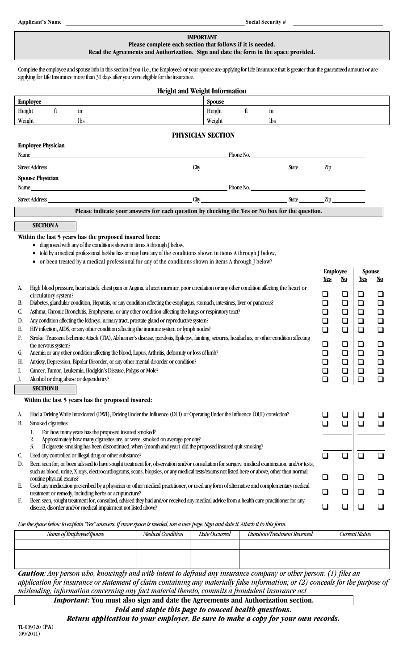#### **IMPORTANT Please complete each section that follows if it is needed. Read the Agreements and Authorization. Sign and date the form in the space provided.**

Complete the employee and spouse info in this section if you (i.e., the Employee) or your spouse are applying for Life Insurance that is greater than the guaranteed amount or are applying for Life Insurance more than 31 days after you were eligible for the insurance.

|                                                                                                                                                                                                                                                                                                 | <b>Height and Weight Information</b>                                                           |                   |    |            |                 |                           |               |           |
|-------------------------------------------------------------------------------------------------------------------------------------------------------------------------------------------------------------------------------------------------------------------------------------------------|------------------------------------------------------------------------------------------------|-------------------|----|------------|-----------------|---------------------------|---------------|-----------|
| <b>Employee</b>                                                                                                                                                                                                                                                                                 |                                                                                                | Spouse            |    |            |                 |                           |               |           |
| Height<br>ft<br>in                                                                                                                                                                                                                                                                              |                                                                                                | Height            | ft | in         |                 |                           |               |           |
| Weight<br>lbs                                                                                                                                                                                                                                                                                   |                                                                                                | Weight            |    | <b>lbs</b> |                 |                           |               |           |
|                                                                                                                                                                                                                                                                                                 |                                                                                                | PHYSICIAN SECTION |    |            |                 |                           |               |           |
| <b>Employee Physician</b>                                                                                                                                                                                                                                                                       |                                                                                                |                   |    |            |                 |                           |               |           |
| Name experience and the contract of the contract of the contract of the contract of the contract of the contract of the contract of the contract of the contract of the contract of the contract of the contract of the contra                                                                  |                                                                                                |                   |    | Phone No.  |                 |                           |               |           |
| Street Address <u>City State</u> Zip                                                                                                                                                                                                                                                            |                                                                                                |                   |    |            |                 |                           |               |           |
|                                                                                                                                                                                                                                                                                                 |                                                                                                |                   |    |            |                 |                           |               |           |
| <b>Spouse Physician</b>                                                                                                                                                                                                                                                                         |                                                                                                |                   |    |            |                 |                           |               |           |
|                                                                                                                                                                                                                                                                                                 |                                                                                                |                   |    |            |                 |                           |               |           |
|                                                                                                                                                                                                                                                                                                 |                                                                                                |                   |    |            |                 |                           |               |           |
|                                                                                                                                                                                                                                                                                                 | Please indicate your answers for each question by checking the Yes or No box for the question. |                   |    |            |                 |                           |               |           |
| <b>SECTION A</b>                                                                                                                                                                                                                                                                                |                                                                                                |                   |    |            |                 |                           |               |           |
| Within the last 5 years has the proposed insured been:                                                                                                                                                                                                                                          |                                                                                                |                   |    |            |                 |                           |               |           |
| • diagnosed with any of the conditions shown in items A through J below,                                                                                                                                                                                                                        |                                                                                                |                   |    |            |                 |                           |               |           |
| told by a medical professional he/she has or may have any of the conditions shown in items A through J below,                                                                                                                                                                                   |                                                                                                |                   |    |            |                 |                           |               |           |
| • or been treated by a medical professional for any of the conditions shown in items A through J below?                                                                                                                                                                                         |                                                                                                |                   |    |            |                 |                           |               |           |
|                                                                                                                                                                                                                                                                                                 |                                                                                                |                   |    |            | <b>Employee</b> |                           | <b>Spouse</b> |           |
|                                                                                                                                                                                                                                                                                                 |                                                                                                |                   |    |            | <u>Yes</u>      | $\underline{\mathrm{No}}$ | <u>Yes</u>    | <u>No</u> |
| High blood pressure, heart attack, chest pain or Angina, a heart murmur, poor circulation or any other condition affecting the heart or<br>A.<br>circulatory system?                                                                                                                            |                                                                                                |                   |    |            | ⊔               | ❏                         | ❏             | ❏         |
| Diabetes, glandular condition, Hepatitis, or any condition affecting the esophagus, stomach, intestines, liver or pancreas?<br>В.                                                                                                                                                               |                                                                                                |                   |    |            |                 | ❏                         | ❏             | ❏         |
| Asthma, Chronic Bronchitis, Emphysema, or any other condition affecting the lungs or respiratory tract?<br>C.                                                                                                                                                                                   |                                                                                                |                   |    |            |                 | $\Box$                    | ❏             | $\Box$    |
| Any condition affecting the kidneys, urinary tract, prostate gland or reproductive system?<br>D.                                                                                                                                                                                                |                                                                                                |                   |    |            |                 | ❏                         | ❏             | $\Box$    |
| HIV infection, AIDS, or any other condition affecting the immune system or lymph nodes?<br>$\Box$<br>$\Box$<br>Е.<br>$\Box$                                                                                                                                                                     |                                                                                                |                   |    |            |                 | $\Box$                    |               |           |
| Stroke, Transient Ischemic Attack (TIA), Alzheimer's disease, paralysis, Epilepsy, fainting, seizures, headaches, or other condition affecting<br>F.<br>❏<br>❏<br>❏                                                                                                                             |                                                                                                |                   |    |            |                 | ❏                         |               |           |
| the nervous system?<br>Anemia or any other condition affecting the blood, Lupus, Arthritis, deformity or loss of limb?<br>G.                                                                                                                                                                    |                                                                                                |                   |    |            |                 | $\Box$                    | ❏             | $\Box$    |
| Anxiety, Depression, Bipolar Disorder, or any other mental disorder or condition?<br>H.                                                                                                                                                                                                         |                                                                                                |                   |    |            |                 | $\Box$                    | $\Box$        | $\Box$    |
| Cancer, Tumor, Leukemia, Hodgkin's Disease, Polyps or Mole?<br>I.                                                                                                                                                                                                                               |                                                                                                |                   |    |            |                 | $\Box$                    | $\Box$        | $\Box$    |
| Alcohol or drug abuse or dependency?                                                                                                                                                                                                                                                            |                                                                                                |                   |    |            |                 | $\Box$                    | $\Box$        | $\Box$    |
| <b>SECTION B</b>                                                                                                                                                                                                                                                                                |                                                                                                |                   |    |            |                 |                           |               |           |
| Within the last 5 years has the proposed insured:                                                                                                                                                                                                                                               |                                                                                                |                   |    |            |                 |                           |               |           |
| Had a Driving While Intoxicated (DWI), Driving Under the Influence (DUI) or Operating Under the Influence (OUI) conviction?<br>A.                                                                                                                                                               |                                                                                                |                   |    |            |                 |                           |               |           |
| Smoked cigarettes:<br>B.                                                                                                                                                                                                                                                                        |                                                                                                |                   |    |            | ❏               | $\Box$                    | ❏             | $\Box$    |
| For how many years has the proposed insured smoked?<br>1.                                                                                                                                                                                                                                       |                                                                                                |                   |    |            |                 |                           |               |           |
| Approximately how many cigarettes are, or were, smoked on average per day?<br>2.                                                                                                                                                                                                                |                                                                                                |                   |    |            |                 |                           |               |           |
| If cigarette smoking has been discontinued, when (month and year) did the proposed insured quit smoking?<br>3.                                                                                                                                                                                  |                                                                                                |                   |    |            | $\Box$          |                           |               |           |
| Used any controlled or illegal drug or other substance?<br>C.                                                                                                                                                                                                                                   |                                                                                                |                   |    |            |                 | $\Box$                    | $\Box$        | $\Box$    |
| Been seen for, or been advised to have sought treatment for, observation and/or consultation for surgery, medical examination, and/or tests,<br>D.<br>such as blood, urine, X-rays, electrocardiograms, scans, biopsies, or any medical tests/exams not listed here or above, other than normal |                                                                                                |                   |    |            |                 |                           |               |           |
| routine physical exams?                                                                                                                                                                                                                                                                         |                                                                                                |                   |    |            | $\Box$          | $\Box$                    | ❏             | ❏         |
| Used any medication prescribed by a physician or other medical practitioner, or used any form of alternative and complementary medical<br>Е.                                                                                                                                                    |                                                                                                |                   |    |            |                 |                           |               |           |
| ❏<br>treatment or remedy, including herbs or acupuncture?<br>Been seen, sought treatment for, consulted, advised they had and/or received any medical advice from a health care practitioner for any<br>F.                                                                                      |                                                                                                |                   |    |            |                 | ❏                         | ❏             | ❏         |
| disease, disorder and/or medical impairment not listed above?                                                                                                                                                                                                                                   |                                                                                                |                   |    |            | ❏               | ❏                         | $\Box$        | ❏         |
|                                                                                                                                                                                                                                                                                                 |                                                                                                |                   |    |            |                 |                           |               |           |

*Use the space below to explain "Yes" answers. If more space is needed, use a new page. Sign and date it. Attach it to this form.* 

| Name of Employee/Spouse | Medical Condition | Date Occurred | Duration/Treatment Received | Current Status |  |
|-------------------------|-------------------|---------------|-----------------------------|----------------|--|
|                         |                   |               |                             |                |  |
|                         |                   |               |                             |                |  |
|                         |                   |               |                             |                |  |

*Caution: Any person who, knowingly and with intent to defraud any insurance company or other person: (1) files an application for insurance or statement of claim containing any materially false information; or (2) conceals for the purpose of misleading, information concerning any fact material thereto, commits a fraudulent insurance act.*

*Important:* **You must also sign and date the Agreements and Authorization section.**

*Fold and staple this page to conceal health questions.* 

*Return application to your employer. Be sure to make a copy for your own records.*